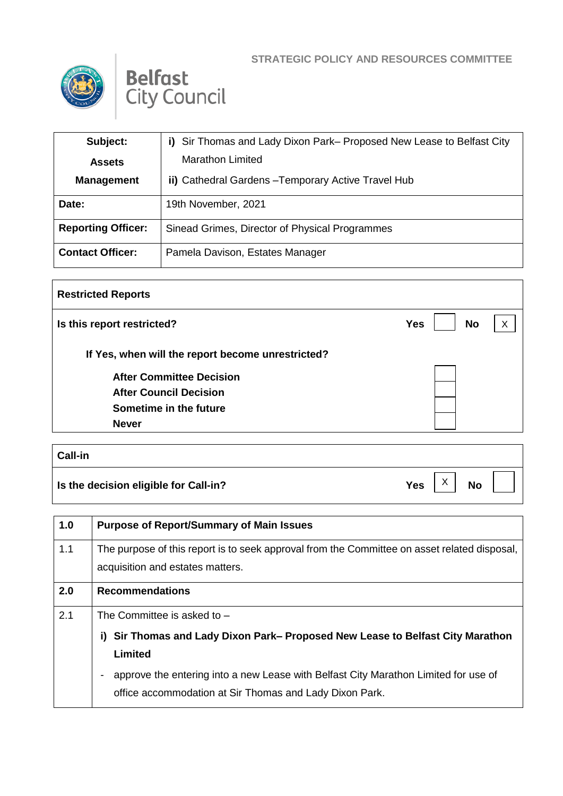





| Subject:                  | i) Sir Thomas and Lady Dixon Park– Proposed New Lease to Belfast City |
|---------------------------|-----------------------------------------------------------------------|
| <b>Assets</b>             | <b>Marathon Limited</b>                                               |
| <b>Management</b>         | ii) Cathedral Gardens - Temporary Active Travel Hub                   |
| Date:                     | 19th November, 2021                                                   |
| <b>Reporting Officer:</b> | Sinead Grimes, Director of Physical Programmes                        |
| <b>Contact Officer:</b>   | Pamela Davison, Estates Manager                                       |

| <b>Restricted Reports</b>                         |                         |                           |
|---------------------------------------------------|-------------------------|---------------------------|
| Is this report restricted?                        | <b>No</b><br><b>Yes</b> | $\boldsymbol{\mathsf{X}}$ |
| If Yes, when will the report become unrestricted? |                         |                           |
| <b>After Committee Decision</b>                   |                         |                           |
| <b>After Council Decision</b>                     |                         |                           |
| Sometime in the future                            |                         |                           |
| <b>Never</b>                                      |                         |                           |

| Call-in                               |                                          |
|---------------------------------------|------------------------------------------|
| Is the decision eligible for Call-in? | $\vee$<br>Yes  <br><b>No</b><br>$\wedge$ |

| 1.0 | <b>Purpose of Report/Summary of Main Issues</b>                                                                                                |
|-----|------------------------------------------------------------------------------------------------------------------------------------------------|
| 1.1 | The purpose of this report is to seek approval from the Committee on asset related disposal,<br>acquisition and estates matters.               |
| 2.0 | <b>Recommendations</b>                                                                                                                         |
| 2.1 | The Committee is asked to $-$                                                                                                                  |
|     | Sir Thomas and Lady Dixon Park– Proposed New Lease to Belfast City Marathon<br>i).                                                             |
|     | Limited                                                                                                                                        |
|     | approve the entering into a new Lease with Belfast City Marathon Limited for use of<br>office accommodation at Sir Thomas and Lady Dixon Park. |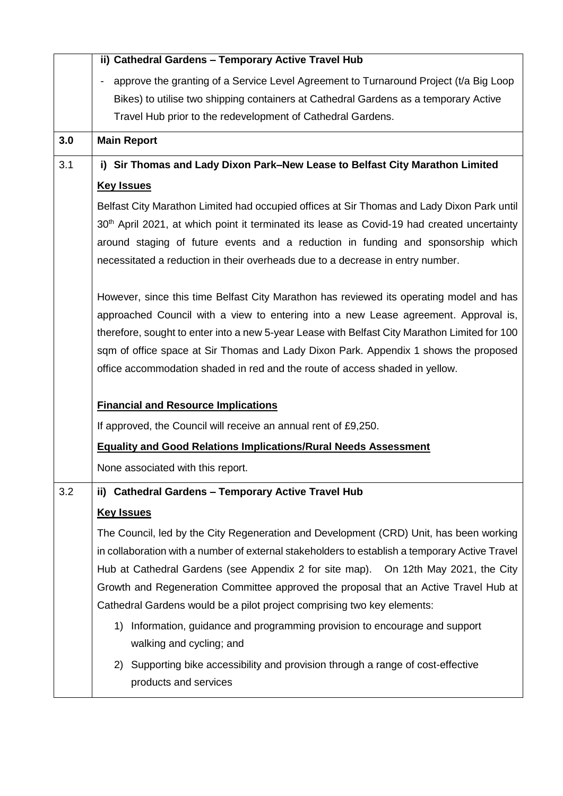|     | ii) Cathedral Gardens - Temporary Active Travel Hub                                                     |
|-----|---------------------------------------------------------------------------------------------------------|
|     | approve the granting of a Service Level Agreement to Turnaround Project (t/a Big Loop                   |
|     | Bikes) to utilise two shipping containers at Cathedral Gardens as a temporary Active                    |
|     | Travel Hub prior to the redevelopment of Cathedral Gardens.                                             |
| 3.0 | <b>Main Report</b>                                                                                      |
| 3.1 | i) Sir Thomas and Lady Dixon Park–New Lease to Belfast City Marathon Limited                            |
|     | <b>Key Issues</b>                                                                                       |
|     | Belfast City Marathon Limited had occupied offices at Sir Thomas and Lady Dixon Park until              |
|     | 30 <sup>th</sup> April 2021, at which point it terminated its lease as Covid-19 had created uncertainty |
|     | around staging of future events and a reduction in funding and sponsorship which                        |
|     | necessitated a reduction in their overheads due to a decrease in entry number.                          |
|     | However, since this time Belfast City Marathon has reviewed its operating model and has                 |
|     | approached Council with a view to entering into a new Lease agreement. Approval is,                     |
|     | therefore, sought to enter into a new 5-year Lease with Belfast City Marathon Limited for 100           |
|     | sqm of office space at Sir Thomas and Lady Dixon Park. Appendix 1 shows the proposed                    |
|     | office accommodation shaded in red and the route of access shaded in yellow.                            |
|     |                                                                                                         |
|     | <b>Financial and Resource Implications</b>                                                              |
|     | If approved, the Council will receive an annual rent of £9,250.                                         |
|     | <b>Equality and Good Relations Implications/Rural Needs Assessment</b>                                  |
|     | None associated with this report.                                                                       |
| 3.2 | ii) Cathedral Gardens - Temporary Active Travel Hub                                                     |
|     | <b>Key Issues</b>                                                                                       |
|     | The Council, led by the City Regeneration and Development (CRD) Unit, has been working                  |
|     |                                                                                                         |
|     | in collaboration with a number of external stakeholders to establish a temporary Active Travel          |
|     | Hub at Cathedral Gardens (see Appendix 2 for site map). On 12th May 2021, the City                      |
|     | Growth and Regeneration Committee approved the proposal that an Active Travel Hub at                    |
|     | Cathedral Gardens would be a pilot project comprising two key elements:                                 |
|     | Information, guidance and programming provision to encourage and support<br>1)                          |
|     | walking and cycling; and                                                                                |
|     | Supporting bike accessibility and provision through a range of cost-effective<br>2)                     |